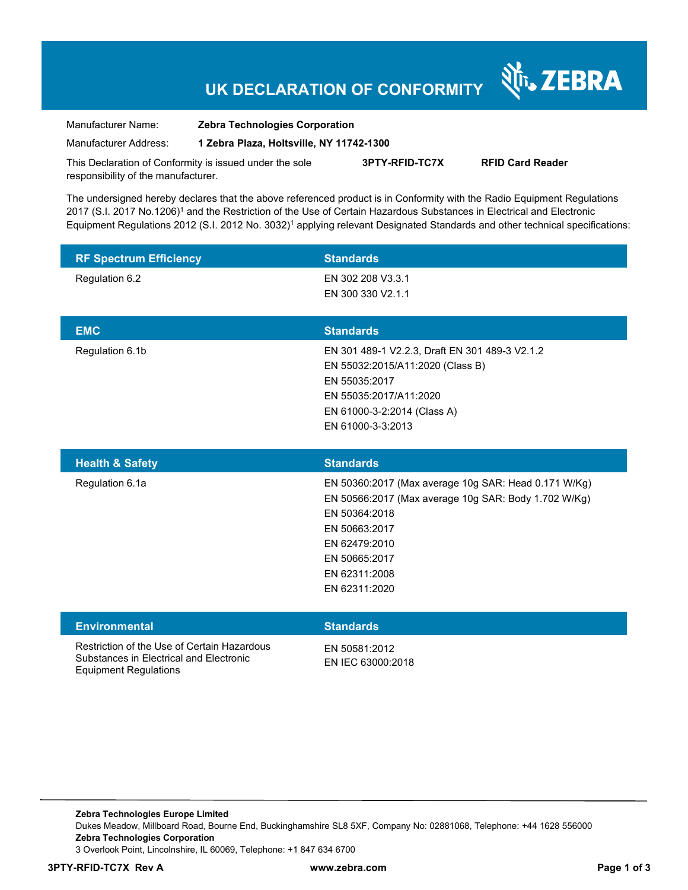### **UK DECLARATION OF CONFORMITY**

र्शे<sub>ं</sub> ZEBRA

Manufacturer Name: **Zebra Technologies Corporation** 

Manufacturer Address: **1 Zebra Plaza, Holtsville, NY 11742-1300** 

This Declaration of Conformity is issued under the sole responsibility of the manufacturer. **3PTY-RFID-TC7X RFID Card Reader** 

The undersigned hereby declares that the above referenced product is in Conformity with the Radio Equipment Regulations 2017 (S.I. 2017 No.1206)<sup>1</sup> and the Restriction of the Use of Certain Hazardous Substances in Electrical and Electronic Equipment Regulations 2012 (S.I. 2012 No. 3032)<sup>1</sup> applying relevant Designated Standards and other technical specifications:

| <b>RF Spectrum Efficiency</b> | <b>Standards</b>                               |
|-------------------------------|------------------------------------------------|
| Regulation 6.2                | EN 302 208 V3.3.1                              |
|                               | EN 300 330 V2.1.1                              |
|                               |                                                |
| <b>EMC</b>                    | <b>Standards</b>                               |
| Regulation 6.1b               | EN 301 489-1 V2.2.3, Draft EN 301 489-3 V2.1.2 |
|                               | EN 55032:2015/A11:2020 (Class B)               |
|                               | EN 55035:2017                                  |
|                               | EN 55035:2017/A11:2020                         |
|                               | EN 61000-3-2:2014 (Class A)                    |
|                               | EN 61000-3-3:2013                              |

| <b>Health &amp; Safety</b> | <b>Standards</b>                                     |
|----------------------------|------------------------------------------------------|
| Regulation 6.1a            | EN 50360:2017 (Max average 10g SAR: Head 0.171 W/Kg) |
|                            | EN 50566:2017 (Max average 10g SAR: Body 1.702 W/Kg) |
|                            | EN 50364:2018                                        |
|                            | EN 50663:2017                                        |
|                            | EN 62479:2010                                        |
|                            | EN 50665:2017                                        |
|                            | EN 62311:2008                                        |
|                            | EN 62311:2020                                        |
|                            |                                                      |

#### **Environmental Standards**

Restriction of the Use of Certain Hazardous Substances in Electrical and Electronic Equipment Regulations

EN 50581:2012 EN IEC 63000:2018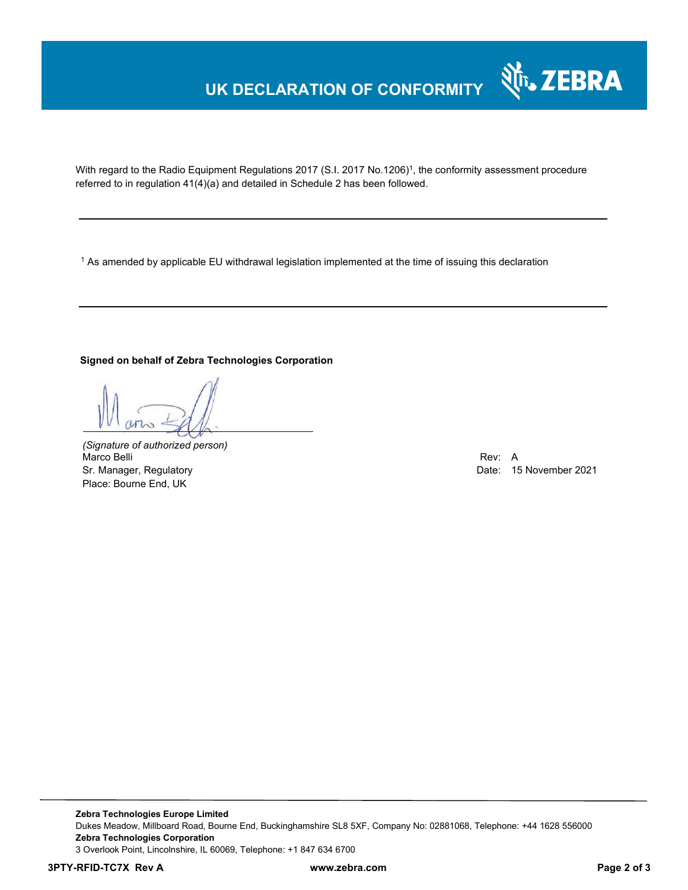## **UK DECLARATION OF CONFORMITY**



With regard to the Radio Equipment Regulations 2017 (S.I. 2017 No.1206)<sup>1</sup>, the conformity assessment procedure referred to in regulation 41(4)(a) and detailed in Schedule 2 has been followed.

 $^{\rm 1}$  As amended by applicable EU withdrawal legislation implemented at the time of issuing this declaration

### **Signed on behalf of Zebra Technologies Corporation**

*(Signature of authorized person)* Marco Belli Rev: A Alexander And The Control of the Control of the Control of the Control of the Control of the Control of the Control of the Control of the Control of the Control of the Control of the Control of the Contr Sr. Manager, Regulatory Date: 15 November 2021 Place: Bourne End, UK